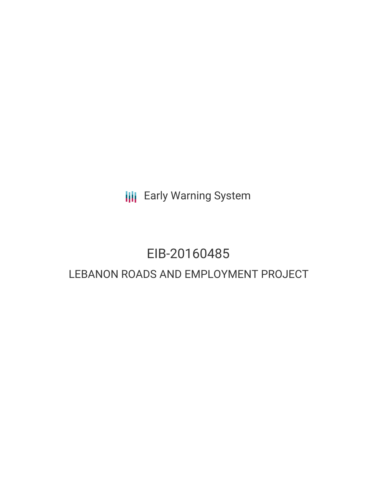**III** Early Warning System

## EIB-20160485

### LEBANON ROADS AND EMPLOYMENT PROJECT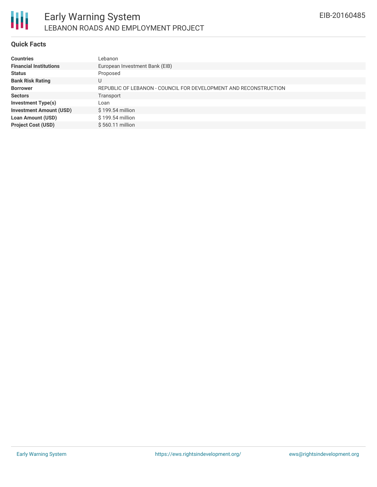

### **Quick Facts**

| European Investment Bank (EIB)                                   |
|------------------------------------------------------------------|
|                                                                  |
|                                                                  |
| REPUBLIC OF LEBANON - COUNCIL FOR DEVELOPMENT AND RECONSTRUCTION |
|                                                                  |
|                                                                  |
| $$199.54$ million                                                |
| \$199.54 million                                                 |
| \$560.11 million                                                 |
|                                                                  |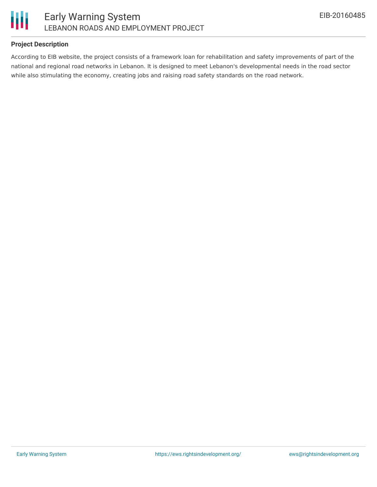

### **Project Description**

According to EIB website, the project consists of a framework loan for rehabilitation and safety improvements of part of the national and regional road networks in Lebanon. It is designed to meet Lebanon's developmental needs in the road sector while also stimulating the economy, creating jobs and raising road safety standards on the road network.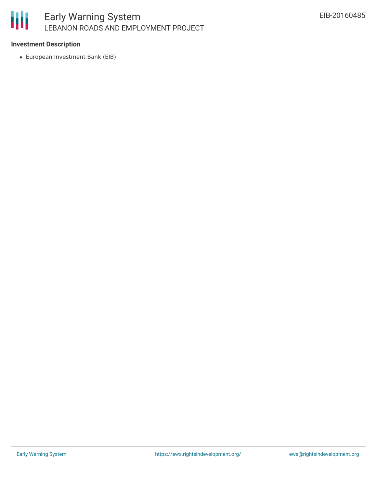# 朋

### **Investment Description**

European Investment Bank (EIB)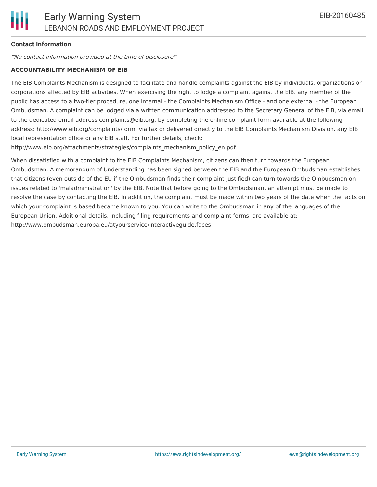### **Contact Information**

\*No contact information provided at the time of disclosure\*

#### **ACCOUNTABILITY MECHANISM OF EIB**

The EIB Complaints Mechanism is designed to facilitate and handle complaints against the EIB by individuals, organizations or corporations affected by EIB activities. When exercising the right to lodge a complaint against the EIB, any member of the public has access to a two-tier procedure, one internal - the Complaints Mechanism Office - and one external - the European Ombudsman. A complaint can be lodged via a written communication addressed to the Secretary General of the EIB, via email to the dedicated email address complaints@eib.org, by completing the online complaint form available at the following address: http://www.eib.org/complaints/form, via fax or delivered directly to the EIB Complaints Mechanism Division, any EIB local representation office or any EIB staff. For further details, check:

http://www.eib.org/attachments/strategies/complaints\_mechanism\_policy\_en.pdf

When dissatisfied with a complaint to the EIB Complaints Mechanism, citizens can then turn towards the European Ombudsman. A memorandum of Understanding has been signed between the EIB and the European Ombudsman establishes that citizens (even outside of the EU if the Ombudsman finds their complaint justified) can turn towards the Ombudsman on issues related to 'maladministration' by the EIB. Note that before going to the Ombudsman, an attempt must be made to resolve the case by contacting the EIB. In addition, the complaint must be made within two years of the date when the facts on which your complaint is based became known to you. You can write to the Ombudsman in any of the languages of the European Union. Additional details, including filing requirements and complaint forms, are available at: http://www.ombudsman.europa.eu/atyourservice/interactiveguide.faces